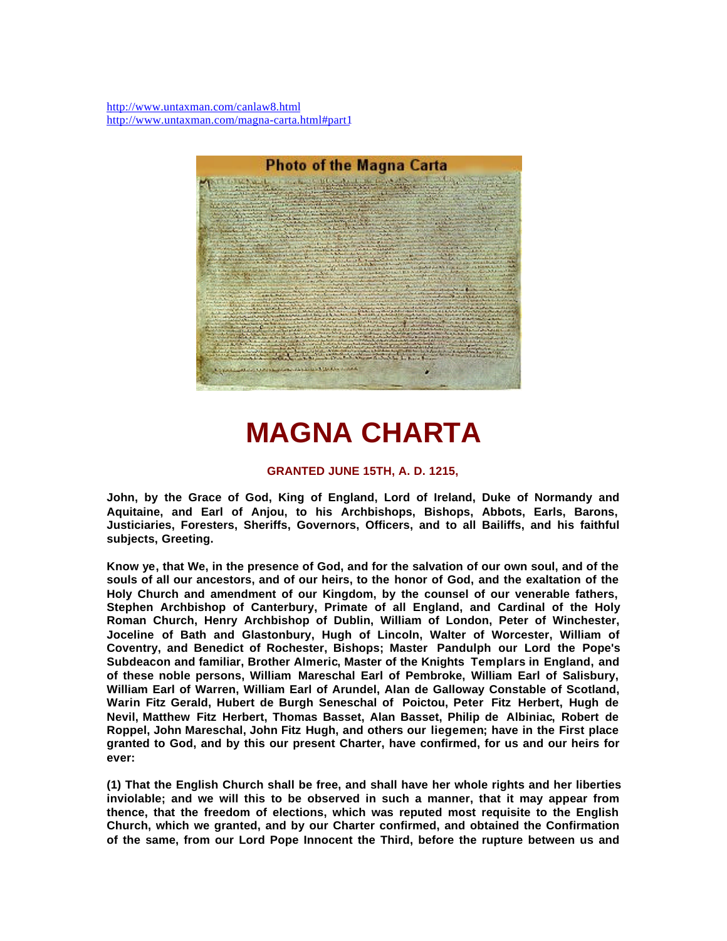http://www.untaxman.com/canlaw8.html http://www.untaxman.com/magna-carta.html#part1



## **MAGNA CHARTA**

## **GRANTED JUNE 15TH, A. D. 1215,**

**John, by the Grace of God, King of England, Lord of Ireland, Duke of Normandy and Aquitaine, and Earl of Anjou, to his Archbishops, Bishops, Abbots, Earls, Barons, Justiciaries, Foresters, Sheriffs, Governors, Officers, and to all Bailiffs, and his faithful subjects, Greeting.**

**Know ye, that We, in the presence of God, and for the salvation of our own soul, and of the souls of all our ancestors, and of our heirs, to the honor of God, and the exaltation of the Holy Church and amendment of our Kingdom, by the counsel of our venerable fathers, Stephen Archbishop of Canterbury, Primate of all England, and Cardinal of the Holy Roman Church, Henry Archbishop of Dublin, William of London, Peter of Winchester, Joceline of Bath and Glastonbury, Hugh of Lincoln, Walter of Worcester, William of Coventry, and Benedict of Rochester, Bishops; Master Pandulph our Lord the Pope's Subdeacon and familiar, Brother Almeric, Master of the Knights Templars in England, and of these noble persons, William Mareschal Earl of Pembroke, William Earl of Salisbury, William Earl of Warren, William Earl of Arundel, Alan de Galloway Constable of Scotland, Warin Fitz Gerald, Hubert de Burgh Seneschal of Poictou, Peter Fitz Herbert, Hugh de Nevil, Matthew Fitz Herbert, Thomas Basset, Alan Basset, Philip de Albiniac, Robert de Roppel, John Mareschal, John Fitz Hugh, and others our liegemen; have in the First place granted to God, and by this our present Charter, have confirmed, for us and our heirs for ever:**

**(1) That the English Church shall be free, and shall have her whole rights and her liberties inviolable; and we will this to be observed in such a manner, that it may appear from thence, that the freedom of elections, which was reputed most requisite to the English Church, which we granted, and by our Charter confirmed, and obtained the Confirmation of the same, from our Lord Pope Innocent the Third, before the rupture between us and**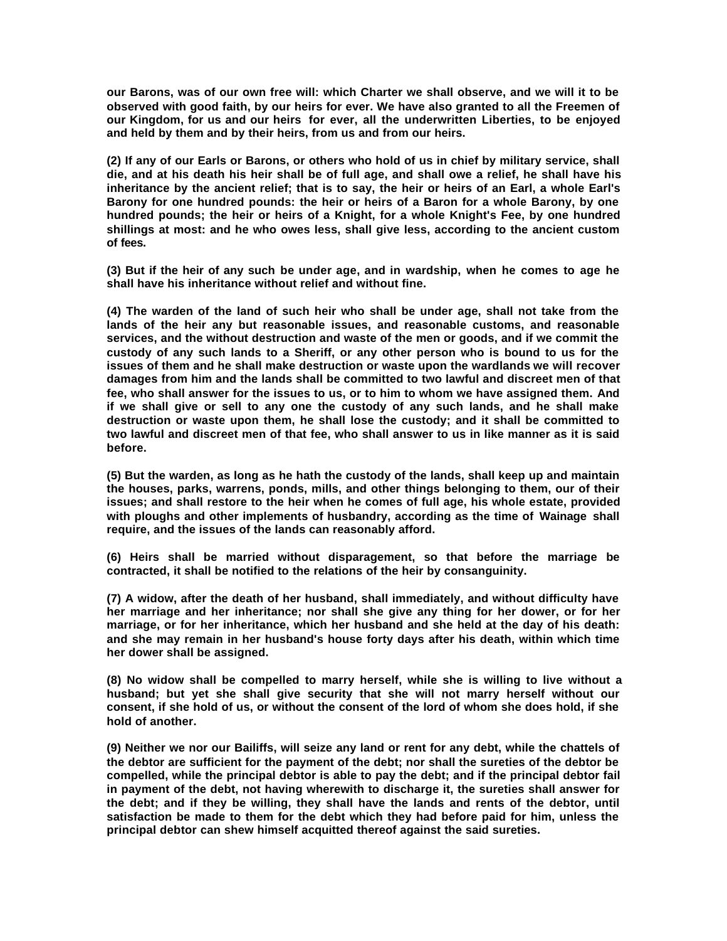**our Barons, was of our own free will: which Charter we shall observe, and we will it to be observed with good faith, by our heirs for ever. We have also granted to all the Freemen of our Kingdom, for us and our heirs for ever, all the underwritten Liberties, to be enjoyed and held by them and by their heirs, from us and from our heirs.**

**(2) If any of our Earls or Barons, or others who hold of us in chief by military service, shall die, and at his death his heir shall be of full age, and shall owe a relief, he shall have his inheritance by the ancient relief; that is to say, the heir or heirs of an Earl, a whole Earl's Barony for one hundred pounds: the heir or heirs of a Baron for a whole Barony, by one hundred pounds; the heir or heirs of a Knight, for a whole Knight's Fee, by one hundred shillings at most: and he who owes less, shall give less, according to the ancient custom of fees.**

**(3) But if the heir of any such be under age, and in wardship, when he comes to age he shall have his inheritance without relief and without fine.**

**(4) The warden of the land of such heir who shall be under age, shall not take from the lands of the heir any but reasonable issues, and reasonable customs, and reasonable services, and the without destruction and waste of the men or goods, and if we commit the custody of any such lands to a Sheriff, or any other person who is bound to us for the issues of them and he shall make destruction or waste upon the wardlands we will recover damages from him and the lands shall be committed to two lawful and discreet men of that fee, who shall answer for the issues to us, or to him to whom we have assigned them. And if we shall give or sell to any one the custody of any such lands, and he shall make destruction or waste upon them, he shall lose the custody; and it shall be committed to two lawful and discreet men of that fee, who shall answer to us in like manner as it is said before.**

**(5) But the warden, as long as he hath the custody of the lands, shall keep up and maintain the houses, parks, warrens, ponds, mills, and other things belonging to them, our of their issues; and shall restore to the heir when he comes of full age, his whole estate, provided with ploughs and other implements of husbandry, according as the time of Wainage shall require, and the issues of the lands can reasonably afford.**

**(6) Heirs shall be married without disparagement, so that before the marriage be contracted, it shall be notified to the relations of the heir by consanguinity.**

**(7) A widow, after the death of her husband, shall immediately, and without difficulty have her marriage and her inheritance; nor shall she give any thing for her dower, or for her marriage, or for her inheritance, which her husband and she held at the day of his death: and she may remain in her husband's house forty days after his death, within which time her dower shall be assigned.**

**(8) No widow shall be compelled to marry herself, while she is willing to live without a husband; but yet she shall give security that she will not marry herself without our consent, if she hold of us, or without the consent of the lord of whom she does hold, if she hold of another.**

**(9) Neither we nor our Bailiffs, will seize any land or rent for any debt, while the chattels of the debtor are sufficient for the payment of the debt; nor shall the sureties of the debtor be compelled, while the principal debtor is able to pay the debt; and if the principal debtor fail in payment of the debt, not having wherewith to discharge it, the sureties shall answer for the debt; and if they be willing, they shall have the lands and rents of the debtor, until satisfaction be made to them for the debt which they had before paid for him, unless the principal debtor can shew himself acquitted thereof against the said sureties.**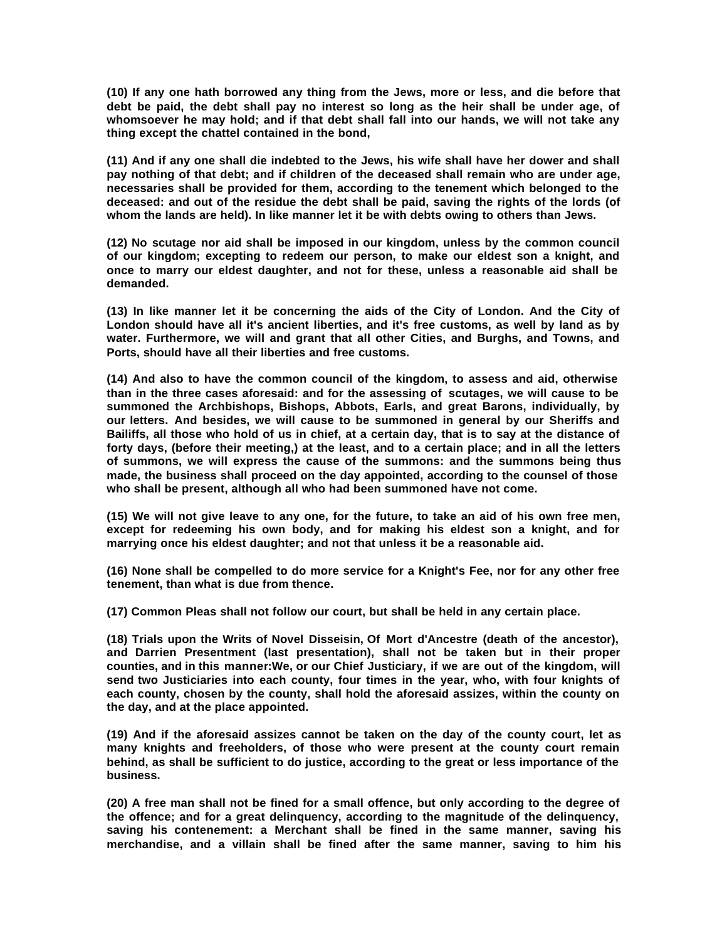**(10) If any one hath borrowed any thing from the Jews, more or less, and die before that debt be paid, the debt shall pay no interest so long as the heir shall be under age, of whomsoever he may hold; and if that debt shall fall into our hands, we will not take any thing except the chattel contained in the bond,**

**(11) And if any one shall die indebted to the Jews, his wife shall have her dower and shall pay nothing of that debt; and if children of the deceased shall remain who are under age, necessaries shall be provided for them, according to the tenement which belonged to the deceased: and out of the residue the debt shall be paid, saving the rights of the lords (of whom the lands are held). In like manner let it be with debts owing to others than Jews.**

**(12) No scutage nor aid shall be imposed in our kingdom, unless by the common council of our kingdom; excepting to redeem our person, to make our eldest son a knight, and once to marry our eldest daughter, and not for these, unless a reasonable aid shall be demanded.**

**(13) In like manner let it be concerning the aids of the City of London. And the City of London should have all it's ancient liberties, and it's free customs, as well by land as by water. Furthermore, we will and grant that all other Cities, and Burghs, and Towns, and Ports, should have all their liberties and free customs.**

**(14) And also to have the common council of the kingdom, to assess and aid, otherwise than in the three cases aforesaid: and for the assessing of scutages, we will cause to be summoned the Archbishops, Bishops, Abbots, Earls, and great Barons, individually, by our letters. And besides, we will cause to be summoned in general by our Sheriffs and Bailiffs, all those who hold of us in chief, at a certain day, that is to say at the distance of forty days, (before their meeting,) at the least, and to a certain place; and in all the letters of summons, we will express the cause of the summons: and the summons being thus made, the business shall proceed on the day appointed, according to the counsel of those who shall be present, although all who had been summoned have not come.**

**(15) We will not give leave to any one, for the future, to take an aid of his own free men, except for redeeming his own body, and for making his eldest son a knight, and for marrying once his eldest daughter; and not that unless it be a reasonable aid.**

**(16) None shall be compelled to do more service for a Knight's Fee, nor for any other free tenement, than what is due from thence.**

**(17) Common Pleas shall not follow our court, but shall be held in any certain place.**

**(18) Trials upon the Writs of Novel Disseisin, Of Mort d'Ancestre (death of the ancestor), and Darrien Presentment (last presentation), shall not be taken but in their proper counties, and in this manner:We, or our Chief Justiciary, if we are out of the kingdom, will send two Justiciaries into each county, four times in the year, who, with four knights of each county, chosen by the county, shall hold the aforesaid assizes, within the county on the day, and at the place appointed.**

**(19) And if the aforesaid assizes cannot be taken on the day of the county court, let as many knights and freeholders, of those who were present at the county court remain behind, as shall be sufficient to do justice, according to the great or less importance of the business.**

**(20) A free man shall not be fined for a small offence, but only according to the degree of the offence; and for a great delinquency, according to the magnitude of the delinquency, saving his contenement: a Merchant shall be fined in the same manner, saving his merchandise, and a villain shall be fined after the same manner, saving to him his**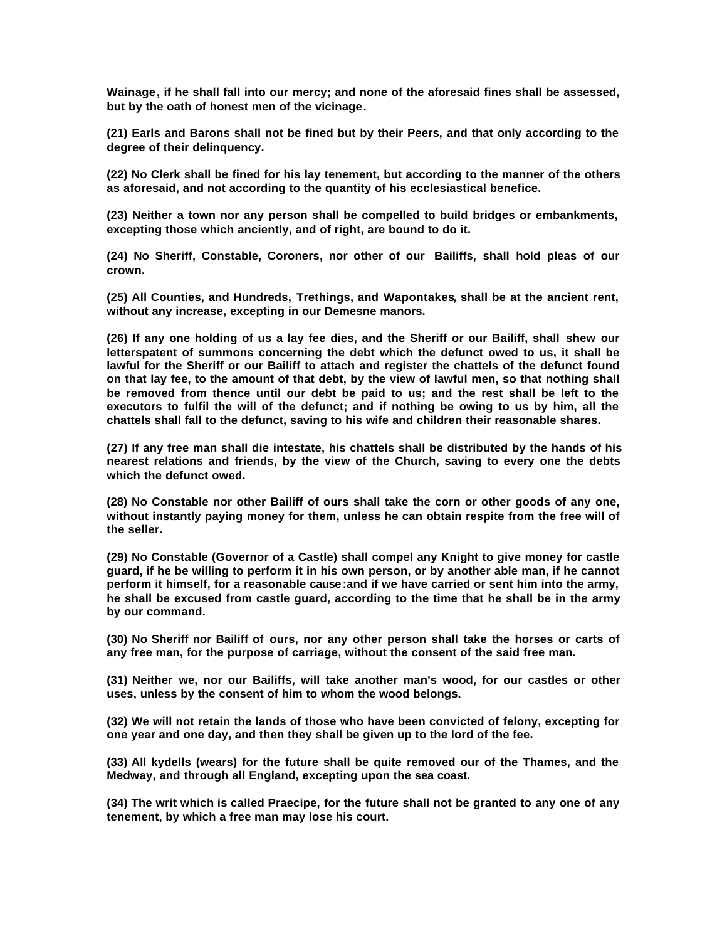**Wainage, if he shall fall into our mercy; and none of the aforesaid fines shall be assessed, but by the oath of honest men of the vicinage.**

**(21) Earls and Barons shall not be fined but by their Peers, and that only according to the degree of their delinquency.**

**(22) No Clerk shall be fined for his lay tenement, but according to the manner of the others as aforesaid, and not according to the quantity of his ecclesiastical benefice.**

**(23) Neither a town nor any person shall be compelled to build bridges or embankments, excepting those which anciently, and of right, are bound to do it.**

**(24) No Sheriff, Constable, Coroners, nor other of our Bailiffs, shall hold pleas of our crown.**

**(25) All Counties, and Hundreds, Trethings, and Wapontakes, shall be at the ancient rent, without any increase, excepting in our Demesne manors.**

**(26) If any one holding of us a lay fee dies, and the Sheriff or our Bailiff, shall shew our letterspatent of summons concerning the debt which the defunct owed to us, it shall be lawful for the Sheriff or our Bailiff to attach and register the chattels of the defunct found on that lay fee, to the amount of that debt, by the view of lawful men, so that nothing shall be removed from thence until our debt be paid to us; and the rest shall be left to the executors to fulfil the will of the defunct; and if nothing be owing to us by him, all the chattels shall fall to the defunct, saving to his wife and children their reasonable shares.**

**(27) If any free man shall die intestate, his chattels shall be distributed by the hands of his nearest relations and friends, by the view of the Church, saving to every one the debts which the defunct owed.**

**(28) No Constable nor other Bailiff of ours shall take the corn or other goods of any one, without instantly paying money for them, unless he can obtain respite from the free will of the seller.**

**(29) No Constable (Governor of a Castle) shall compel any Knight to give money for castle guard, if he be willing to perform it in his own person, or by another able man, if he cannot perform it himself, for a reasonable cause:and if we have carried or sent him into the army, he shall be excused from castle guard, according to the time that he shall be in the army by our command.**

**(30) No Sheriff nor Bailiff of ours, nor any other person shall take the horses or carts of any free man, for the purpose of carriage, without the consent of the said free man.**

**(31) Neither we, nor our Bailiffs, will take another man's wood, for our castles or other uses, unless by the consent of him to whom the wood belongs.**

**(32) We will not retain the lands of those who have been convicted of felony, excepting for one year and one day, and then they shall be given up to the lord of the fee.**

**(33) All kydells (wears) for the future shall be quite removed our of the Thames, and the Medway, and through all England, excepting upon the sea coast.**

**(34) The writ which is called Praecipe, for the future shall not be granted to any one of any tenement, by which a free man may lose his court.**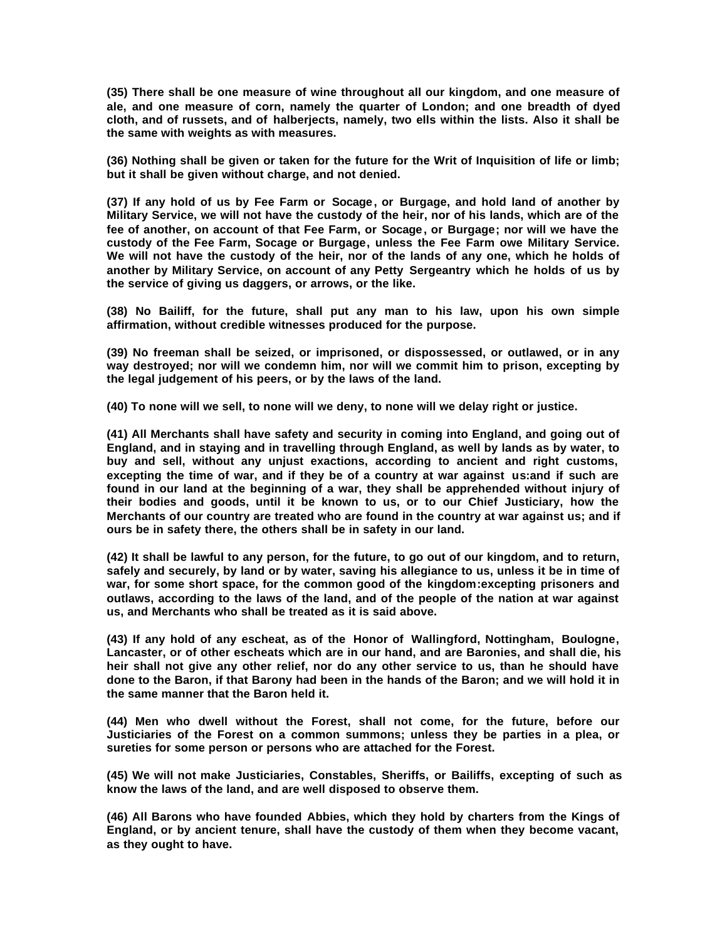**(35) There shall be one measure of wine throughout all our kingdom, and one measure of ale, and one measure of corn, namely the quarter of London; and one breadth of dyed cloth, and of russets, and of halberjects, namely, two ells within the lists. Also it shall be the same with weights as with measures.**

**(36) Nothing shall be given or taken for the future for the Writ of Inquisition of life or limb; but it shall be given without charge, and not denied.**

**(37) If any hold of us by Fee Farm or Socage, or Burgage, and hold land of another by Military Service, we will not have the custody of the heir, nor of his lands, which are of the fee of another, on account of that Fee Farm, or Socage, or Burgage; nor will we have the custody of the Fee Farm, Socage or Burgage, unless the Fee Farm owe Military Service. We will not have the custody of the heir, nor of the lands of any one, which he holds of another by Military Service, on account of any Petty Sergeantry which he holds of us by the service of giving us daggers, or arrows, or the like.**

**(38) No Bailiff, for the future, shall put any man to his law, upon his own simple affirmation, without credible witnesses produced for the purpose.**

**(39) No freeman shall be seized, or imprisoned, or dispossessed, or outlawed, or in any way destroyed; nor will we condemn him, nor will we commit him to prison, excepting by the legal judgement of his peers, or by the laws of the land.**

**(40) To none will we sell, to none will we deny, to none will we delay right or justice.**

**(41) All Merchants shall have safety and security in coming into England, and going out of England, and in staying and in travelling through England, as well by lands as by water, to buy and sell, without any unjust exactions, according to ancient and right customs, excepting the time of war, and if they be of a country at war against us:and if such are found in our land at the beginning of a war, they shall be apprehended without injury of their bodies and goods, until it be known to us, or to our Chief Justiciary, how the Merchants of our country are treated who are found in the country at war against us; and if ours be in safety there, the others shall be in safety in our land.**

**(42) It shall be lawful to any person, for the future, to go out of our kingdom, and to return, safely and securely, by land or by water, saving his allegiance to us, unless it be in time of war, for some short space, for the common good of the kingdom:excepting prisoners and outlaws, according to the laws of the land, and of the people of the nation at war against us, and Merchants who shall be treated as it is said above.**

**(43) If any hold of any escheat, as of the Honor of Wallingford, Nottingham, Boulogne, Lancaster, or of other escheats which are in our hand, and are Baronies, and shall die, his heir shall not give any other relief, nor do any other service to us, than he should have done to the Baron, if that Barony had been in the hands of the Baron; and we will hold it in the same manner that the Baron held it.**

**(44) Men who dwell without the Forest, shall not come, for the future, before our Justiciaries of the Forest on a common summons; unless they be parties in a plea, or sureties for some person or persons who are attached for the Forest.**

**(45) We will not make Justiciaries, Constables, Sheriffs, or Bailiffs, excepting of such as know the laws of the land, and are well disposed to observe them.**

**(46) All Barons who have founded Abbies, which they hold by charters from the Kings of England, or by ancient tenure, shall have the custody of them when they become vacant, as they ought to have.**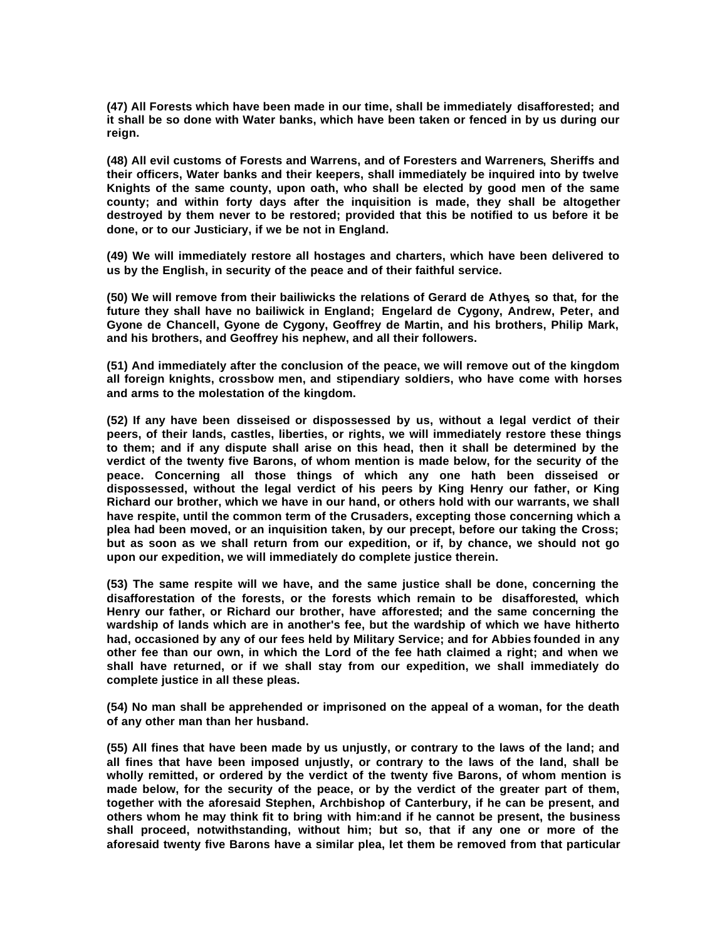**(47) All Forests which have been made in our time, shall be immediately disafforested; and it shall be so done with Water banks, which have been taken or fenced in by us during our reign.**

**(48) All evil customs of Forests and Warrens, and of Foresters and Warreners, Sheriffs and their officers, Water banks and their keepers, shall immediately be inquired into by twelve Knights of the same county, upon oath, who shall be elected by good men of the same county; and within forty days after the inquisition is made, they shall be altogether destroyed by them never to be restored; provided that this be notified to us before it be done, or to our Justiciary, if we be not in England.**

**(49) We will immediately restore all hostages and charters, which have been delivered to us by the English, in security of the peace and of their faithful service.**

**(50) We will remove from their bailiwicks the relations of Gerard de Athyes, so that, for the future they shall have no bailiwick in England; Engelard de Cygony, Andrew, Peter, and Gyone de Chancell, Gyone de Cygony, Geoffrey de Martin, and his brothers, Philip Mark, and his brothers, and Geoffrey his nephew, and all their followers.**

**(51) And immediately after the conclusion of the peace, we will remove out of the kingdom all foreign knights, crossbow men, and stipendiary soldiers, who have come with horses and arms to the molestation of the kingdom.**

**(52) If any have been disseised or dispossessed by us, without a legal verdict of their peers, of their lands, castles, liberties, or rights, we will immediately restore these things to them; and if any dispute shall arise on this head, then it shall be determined by the verdict of the twenty five Barons, of whom mention is made below, for the security of the peace. Concerning all those things of which any one hath been disseised or dispossessed, without the legal verdict of his peers by King Henry our father, or King Richard our brother, which we have in our hand, or others hold with our warrants, we shall have respite, until the common term of the Crusaders, excepting those concerning which a plea had been moved, or an inquisition taken, by our precept, before our taking the Cross; but as soon as we shall return from our expedition, or if, by chance, we should not go upon our expedition, we will immediately do complete justice therein.**

**(53) The same respite will we have, and the same justice shall be done, concerning the disafforestation of the forests, or the forests which remain to be disafforested, which Henry our father, or Richard our brother, have afforested; and the same concerning the wardship of lands which are in another's fee, but the wardship of which we have hitherto had, occasioned by any of our fees held by Military Service; and for Abbies founded in any other fee than our own, in which the Lord of the fee hath claimed a right; and when we shall have returned, or if we shall stay from our expedition, we shall immediately do complete justice in all these pleas.**

**(54) No man shall be apprehended or imprisoned on the appeal of a woman, for the death of any other man than her husband.**

**(55) All fines that have been made by us unjustly, or contrary to the laws of the land; and all fines that have been imposed unjustly, or contrary to the laws of the land, shall be wholly remitted, or ordered by the verdict of the twenty five Barons, of whom mention is made below, for the security of the peace, or by the verdict of the greater part of them, together with the aforesaid Stephen, Archbishop of Canterbury, if he can be present, and others whom he may think fit to bring with him:and if he cannot be present, the business shall proceed, notwithstanding, without him; but so, that if any one or more of the aforesaid twenty five Barons have a similar plea, let them be removed from that particular**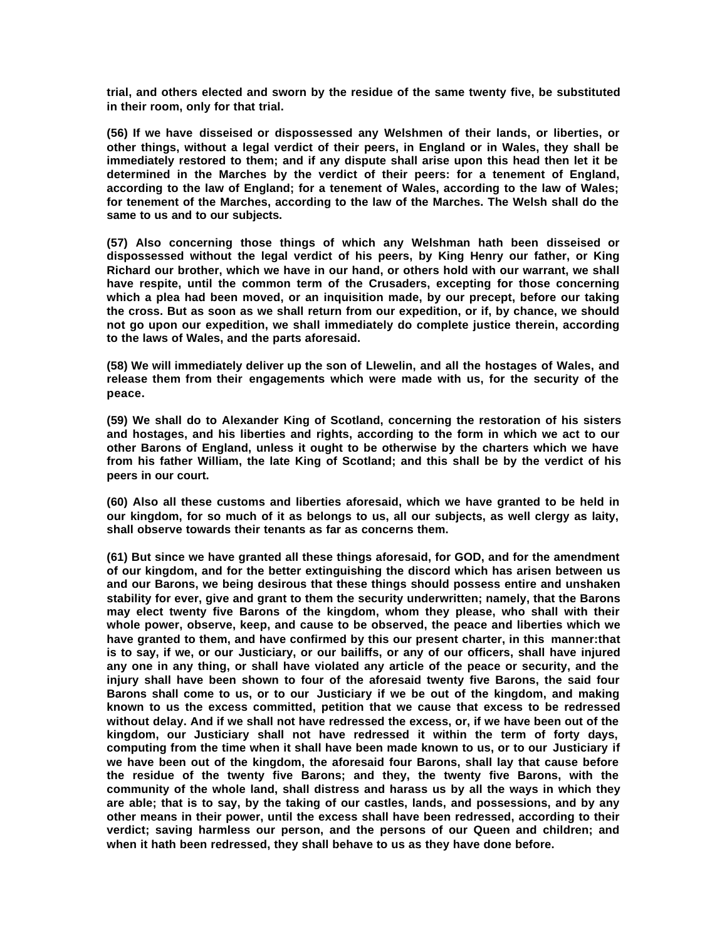**trial, and others elected and sworn by the residue of the same twenty five, be substituted in their room, only for that trial.**

**(56) If we have disseised or dispossessed any Welshmen of their lands, or liberties, or other things, without a legal verdict of their peers, in England or in Wales, they shall be immediately restored to them; and if any dispute shall arise upon this head then let it be determined in the Marches by the verdict of their peers: for a tenement of England, according to the law of England; for a tenement of Wales, according to the law of Wales; for tenement of the Marches, according to the law of the Marches. The Welsh shall do the same to us and to our subjects.**

**(57) Also concerning those things of which any Welshman hath been disseised or dispossessed without the legal verdict of his peers, by King Henry our father, or King Richard our brother, which we have in our hand, or others hold with our warrant, we shall have respite, until the common term of the Crusaders, excepting for those concerning which a plea had been moved, or an inquisition made, by our precept, before our taking the cross. But as soon as we shall return from our expedition, or if, by chance, we should not go upon our expedition, we shall immediately do complete justice therein, according to the laws of Wales, and the parts aforesaid.**

**(58) We will immediately deliver up the son of Llewelin, and all the hostages of Wales, and release them from their engagements which were made with us, for the security of the peace.**

**(59) We shall do to Alexander King of Scotland, concerning the restoration of his sisters and hostages, and his liberties and rights, according to the form in which we act to our other Barons of England, unless it ought to be otherwise by the charters which we have from his father William, the late King of Scotland; and this shall be by the verdict of his peers in our court.**

**(60) Also all these customs and liberties aforesaid, which we have granted to be held in our kingdom, for so much of it as belongs to us, all our subjects, as well clergy as laity, shall observe towards their tenants as far as concerns them.**

**(61) But since we have granted all these things aforesaid, for GOD, and for the amendment of our kingdom, and for the better extinguishing the discord which has arisen between us and our Barons, we being desirous that these things should possess entire and unshaken stability for ever, give and grant to them the security underwritten; namely, that the Barons may elect twenty five Barons of the kingdom, whom they please, who shall with their whole power, observe, keep, and cause to be observed, the peace and liberties which we have granted to them, and have confirmed by this our present charter, in this manner:that is to say, if we, or our Justiciary, or our bailiffs, or any of our officers, shall have injured any one in any thing, or shall have violated any article of the peace or security, and the injury shall have been shown to four of the aforesaid twenty five Barons, the said four Barons shall come to us, or to our Justiciary if we be out of the kingdom, and making known to us the excess committed, petition that we cause that excess to be redressed without delay. And if we shall not have redressed the excess, or, if we have been out of the kingdom, our Justiciary shall not have redressed it within the term of forty days, computing from the time when it shall have been made known to us, or to our Justiciary if we have been out of the kingdom, the aforesaid four Barons, shall lay that cause before the residue of the twenty five Barons; and they, the twenty five Barons, with the community of the whole land, shall distress and harass us by all the ways in which they are able; that is to say, by the taking of our castles, lands, and possessions, and by any other means in their power, until the excess shall have been redressed, according to their verdict; saving harmless our person, and the persons of our Queen and children; and when it hath been redressed, they shall behave to us as they have done before.**